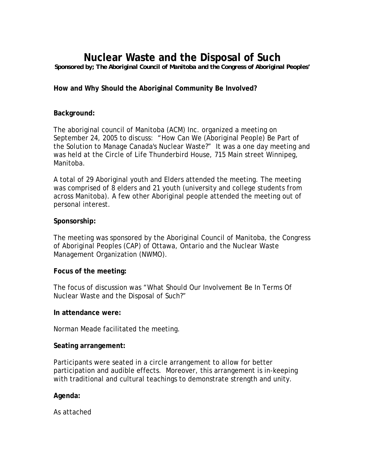# **Nuclear Waste and the Disposal of Such**

*Sponsored by; The Aboriginal Council of Manitoba and the Congress of Aboriginal Peoples'* 

### **How and Why Should the Aboriginal Community Be Involved?**

#### **Background:**

The aboriginal council of Manitoba (ACM) Inc. organized a meeting on September 24, 2005 to discuss: "How Can We (Aboriginal People) Be Part of the Solution to Manage Canada's Nuclear Waste?" It was a one day meeting and was held at the Circle of Life Thunderbird House, 715 Main street Winnipeg, Manitoba.

A total of 29 Aboriginal youth and Elders attended the meeting. The meeting was comprised of 8 elders and 21 youth (university and college students from across Manitoba). A few other Aboriginal people attended the meeting out of personal interest.

#### **Sponsorship:**

The meeting was sponsored by the Aboriginal Council of Manitoba, the Congress of Aboriginal Peoples (CAP) of Ottawa, Ontario and the Nuclear Waste Management Organization (NWMO).

#### **Focus of the meeting:**

The focus of discussion was "What Should Our Involvement Be In Terms Of Nuclear Waste and the Disposal of Such?"

#### **In attendance were:**

Norman Meade facilitated the meeting.

#### **Seating arrangement:**

Participants were seated in a circle arrangement to allow for better participation and audible effects. Moreover, this arrangement is in-keeping with traditional and cultural teachings to demonstrate strength and unity.

#### **Agenda:**

As attached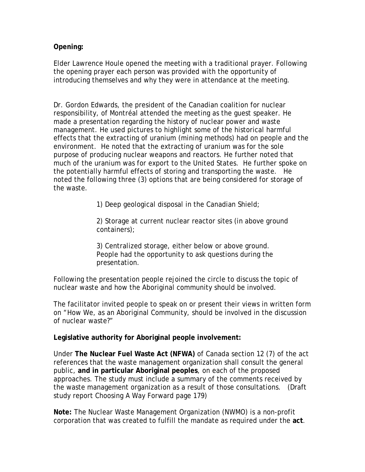**Opening:** 

Elder Lawrence Houle opened the meeting with a traditional prayer. Following the opening prayer each person was provided with the opportunity of introducing themselves and why they were in attendance at the meeting.

Dr. Gordon Edwards, the president of the Canadian coalition for nuclear responsibility, of Montréal attended the meeting as the guest speaker. He made a presentation regarding the history of nuclear power and waste management. He used pictures to highlight some of the historical harmful effects that the extracting of uranium (mining methods) had on people and the environment. He noted that the extracting of uranium was for the sole purpose of producing nuclear weapons and reactors. He further noted that much of the uranium was for export to the United States. He further spoke on the potentially harmful effects of storing and transporting the waste. He noted the following three (3) options that are being considered for storage of the waste.

1) Deep geological disposal in the Canadian Shield;

2) Storage at current nuclear reactor sites (in above ground containers);

3) Centralized storage, either below or above ground. People had the opportunity to ask questions during the presentation.

Following the presentation people rejoined the circle to discuss the topic of nuclear waste and how the Aboriginal community should be involved.

The facilitator invited people to speak on or present their views in written form on "How We, as an Aboriginal Community, should be involved in the discussion of nuclear waste?"

**Legislative authority for Aboriginal people involvement:** 

Under **The Nuclear Fuel Waste Act (NFWA)** of Canada section 12 (7) of the act references that the waste management organization shall consult the general public, **and in particular Aboriginal peoples**, on each of the proposed approaches. The study must include a summary of the comments received by the waste management organization as a result of those consultations. (Draft study report Choosing A Way Forward page 179)

**Note:** The Nuclear Waste Management Organization (NWMO) is a non-profit corporation that was created to fulfill the mandate as required under the **act**.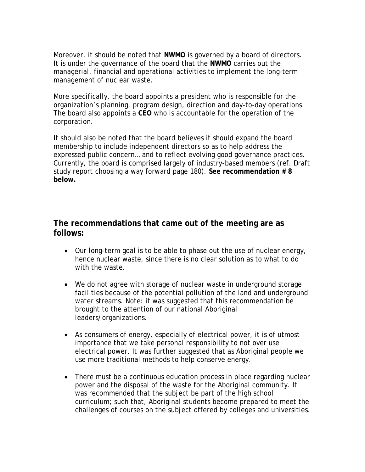Moreover, it should be noted that **NWMO** is governed by a board of directors. It is under the governance of the board that the **NWMO** carries out the managerial, financial and operational activities to implement the long-term management of nuclear waste.

More specifically, the board appoints a president who is responsible for the organization's planning, program design, direction and day-to-day operations. The board also appoints a **CEO** who is accountable for the operation of the corporation.

It should also be noted that the board believes it should expand the board membership to include independent directors so as to help address the expressed public concern… and to reflect evolving good governance practices. Currently, the board is comprised largely of industry-based members (ref. Draft study report choosing a way forward page 180). **See recommendation # 8 below.** 

# **The recommendations that came out of the meeting are as follows:**

- Our long-term goal is to be able to phase out the use of nuclear energy, hence nuclear waste, since there is no clear solution as to what to do with the waste.
- We do not agree with storage of nuclear waste in underground storage facilities because of the potential pollution of the land and underground water streams. Note: it was suggested that this recommendation be brought to the attention of our national Aboriginal leaders/organizations.
- As consumers of energy, especially of electrical power, it is of utmost importance that we take personal responsibility to not over use electrical power. It was further suggested that as Aboriginal people we use more traditional methods to help conserve energy.
- There must be a continuous education process in place regarding nuclear power and the disposal of the waste for the Aboriginal community. It was recommended that the subject be part of the high school curriculum; such that, Aboriginal students become prepared to meet the challenges of courses on the subject offered by colleges and universities.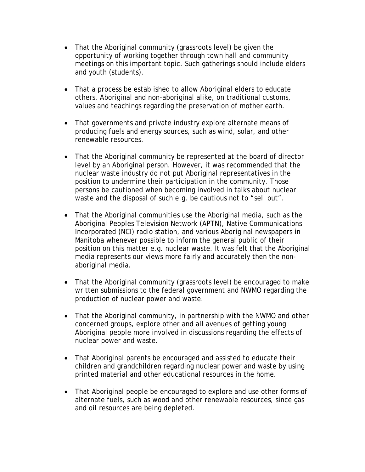- That the Aboriginal community (grassroots level) be given the opportunity of working together through town hall and community meetings on this important topic. Such gatherings should include elders and youth (students).
- That a process be established to allow Aboriginal elders to educate others, Aboriginal and non-aboriginal alike, on traditional customs, values and teachings regarding the preservation of mother earth.
- That governments and private industry explore alternate means of producing fuels and energy sources, such as wind, solar, and other renewable resources.
- That the Aboriginal community be represented at the board of director level by an Aboriginal person. However, it was recommended that the nuclear waste industry do not put Aboriginal representatives in the position to undermine their participation in the community. Those persons be cautioned when becoming involved in talks about nuclear waste and the disposal of such e.g. be cautious not to "sell out".
- That the Aboriginal communities use the Aboriginal media, such as the Aboriginal Peoples Television Network (APTN), Native Communications Incorporated (NCI) radio station, and various Aboriginal newspapers in Manitoba whenever possible to inform the general public of their position on this matter e.g. nuclear waste. It was felt that the Aboriginal media represents our views more fairly and accurately then the nonaboriginal media.
- That the Aboriginal community (grassroots level) be encouraged to make written submissions to the federal government and NWMO regarding the production of nuclear power and waste.
- That the Aboriginal community, in partnership with the NWMO and other concerned groups, explore other and all avenues of getting young Aboriginal people more involved in discussions regarding the effects of nuclear power and waste.
- That Aboriginal parents be encouraged and assisted to educate their children and grandchildren regarding nuclear power and waste by using printed material and other educational resources in the home.
- That Aboriginal people be encouraged to explore and use other forms of alternate fuels, such as wood and other renewable resources, since gas and oil resources are being depleted.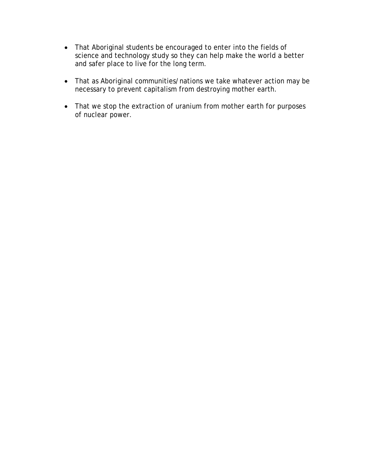- That Aboriginal students be encouraged to enter into the fields of science and technology study so they can help make the world a better and safer place to live for the long term.
- That as Aboriginal communities/nations we take whatever action may be necessary to prevent capitalism from destroying mother earth.
- That we stop the extraction of uranium from mother earth for purposes of nuclear power.